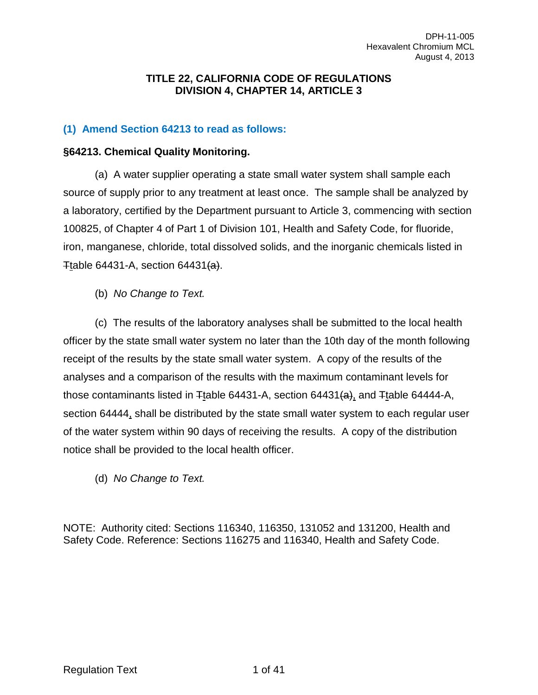#### **TITLE 22, CALIFORNIA CODE OF REGULATIONS DIVISION 4, CHAPTER 14, ARTICLE 3**

### **(1) Amend Section 64213 to read as follows:**

#### **§64213. Chemical Quality Monitoring.**

(a) A water supplier operating a state small water system shall sample each source of supply prior to any treatment at least once. The sample shall be analyzed by a laboratory, certified by the Department pursuant to Article 3, commencing with section 100825, of Chapter 4 of Part 1 of Division 101, Health and Safety Code, for fluoride, iron, manganese, chloride, total dissolved solids, and the inorganic chemicals listed in Ttable 64431-A, section 64431 $(a)$ .

(b) *No Change to Text.*

(c) The results of the laboratory analyses shall be submitted to the local health officer by the state small water system no later than the 10th day of the month following receipt of the results by the state small water system. A copy of the results of the analyses and a comparison of the results with the maximum contaminant levels for those contaminants listed in  $\pm$ table 64431-A, section 64431 $\{a\}$ , and  $\pm$ table 64444-A, section 64444, shall be distributed by the state small water system to each regular user of the water system within 90 days of receiving the results. A copy of the distribution notice shall be provided to the local health officer.

(d) *No Change to Text.*

NOTE: Authority cited: Sections 116340, 116350, 131052 and 131200, Health and Safety Code. Reference: Sections 116275 and 116340, Health and Safety Code.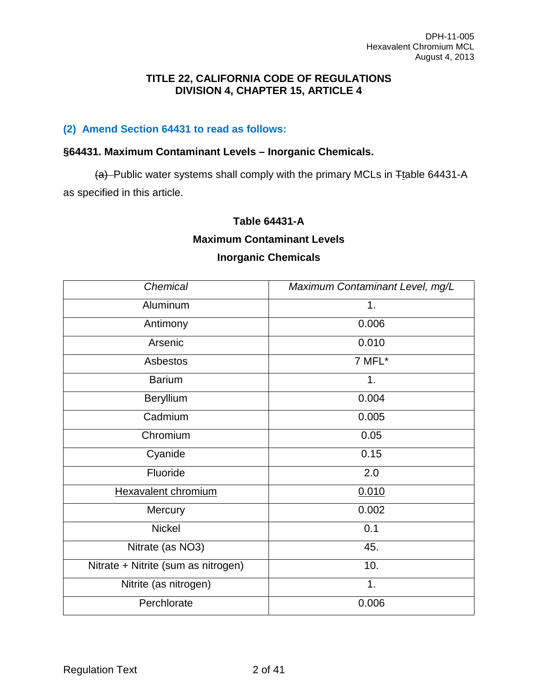#### **TITLE 22, CALIFORNIA CODE OF REGULATIONS DIVISION 4, CHAPTER 15, ARTICLE 4**

#### **(2) Amend Section 64431 to read as follows:**

#### **§64431. Maximum Contaminant Levels – Inorganic Chemicals.**

 $(a)$ -Public water systems shall comply with the primary MCLs in  $F$ table 64431-A as specified in this article.

#### **Table 64431-A**

#### **Maximum Contaminant Levels**

#### **Inorganic Chemicals**

| Chemical                            | Maximum Contaminant Level, mg/L |
|-------------------------------------|---------------------------------|
| Aluminum                            | 1.                              |
| Antimony                            | 0.006                           |
| Arsenic                             | 0.010                           |
| Asbestos                            | 7 MFL*                          |
| <b>Barium</b>                       | 1.                              |
| Beryllium                           | 0.004                           |
| Cadmium                             | 0.005                           |
| Chromium                            | 0.05                            |
| Cyanide                             | 0.15                            |
| Fluoride                            | 2.0                             |
| <b>Hexavalent chromium</b>          | 0.010                           |
| Mercury                             | 0.002                           |
| <b>Nickel</b>                       | 0.1                             |
| Nitrate (as NO3)                    | 45.                             |
| Nitrate + Nitrite (sum as nitrogen) | 10.                             |
| Nitrite (as nitrogen)               | 1.                              |
| Perchlorate                         | 0.006                           |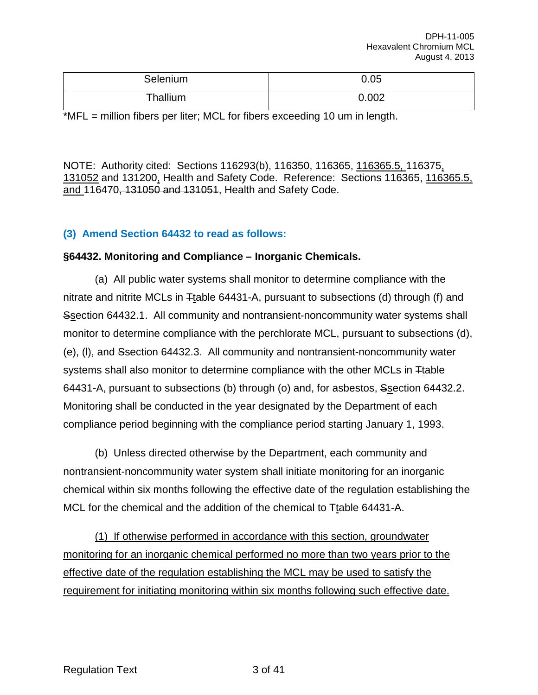| Selenium | 0.05  |
|----------|-------|
| Thallium | 0.002 |

\*MFL = million fibers per liter; MCL for fibers exceeding 10 um in length.

NOTE: Authority cited: Sections 116293(b), 116350, 116365, 116365.5, 116375, 131052 and 131200, Health and Safety Code. Reference: Sections 116365, 116365.5, and 116470, 131050 and 131051, Health and Safety Code.

#### **(3) Amend Section 64432 to read as follows:**

#### **§64432. Monitoring and Compliance – Inorganic Chemicals.**

(a) All public water systems shall monitor to determine compliance with the nitrate and nitrite MCLs in Ttable 64431-A, pursuant to subsections (d) through (f) and Ssection 64432.1. All community and nontransient-noncommunity water systems shall monitor to determine compliance with the perchlorate MCL, pursuant to subsections (d), (e), (l), and Ssection 64432.3. All community and nontransient-noncommunity water systems shall also monitor to determine compliance with the other MCLs in Ttable 64431-A, pursuant to subsections (b) through (o) and, for asbestos, Ssection 64432.2. Monitoring shall be conducted in the year designated by the Department of each compliance period beginning with the compliance period starting January 1, 1993.

(b) Unless directed otherwise by the Department, each community and nontransient-noncommunity water system shall initiate monitoring for an inorganic chemical within six months following the effective date of the regulation establishing the MCL for the chemical and the addition of the chemical to  $\pm$ table 64431-A.

(1) If otherwise performed in accordance with this section, groundwater monitoring for an inorganic chemical performed no more than two years prior to the effective date of the regulation establishing the MCL may be used to satisfy the requirement for initiating monitoring within six months following such effective date.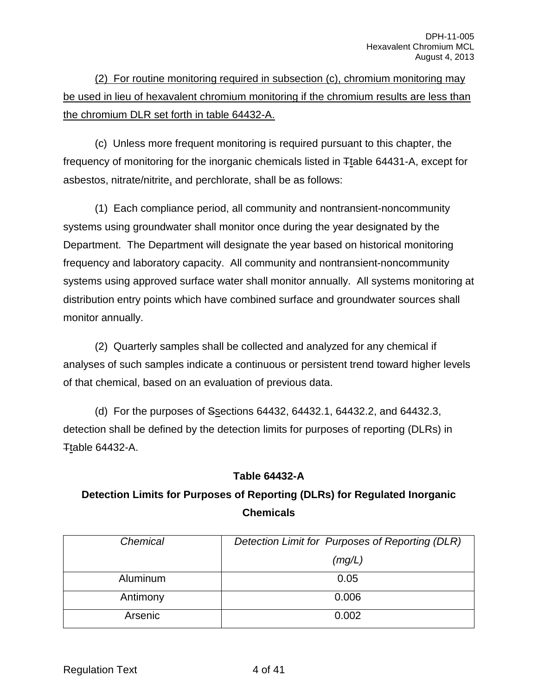(2) For routine monitoring required in subsection (c), chromium monitoring may be used in lieu of hexavalent chromium monitoring if the chromium results are less than the chromium DLR set forth in table 64432-A.

(c) Unless more frequent monitoring is required pursuant to this chapter, the frequency of monitoring for the inorganic chemicals listed in Ttable 64431-A, except for asbestos, nitrate/nitrite, and perchlorate, shall be as follows:

(1) Each compliance period, all community and nontransient-noncommunity systems using groundwater shall monitor once during the year designated by the Department. The Department will designate the year based on historical monitoring frequency and laboratory capacity. All community and nontransient-noncommunity systems using approved surface water shall monitor annually. All systems monitoring at distribution entry points which have combined surface and groundwater sources shall monitor annually.

(2) Quarterly samples shall be collected and analyzed for any chemical if analyses of such samples indicate a continuous or persistent trend toward higher levels of that chemical, based on an evaluation of previous data.

(d) For the purposes of Ssections 64432, 64432.1, 64432.2, and 64432.3, detection shall be defined by the detection limits for purposes of reporting (DLRs) in Ttable 64432-A.

#### **Table 64432-A**

## **Detection Limits for Purposes of Reporting (DLRs) for Regulated Inorganic Chemicals**

| Chemical | Detection Limit for Purposes of Reporting (DLR) |
|----------|-------------------------------------------------|
|          | (mg/L)                                          |
| Aluminum | 0.05                                            |
| Antimony | 0.006                                           |
| Arsenic  | 0.002                                           |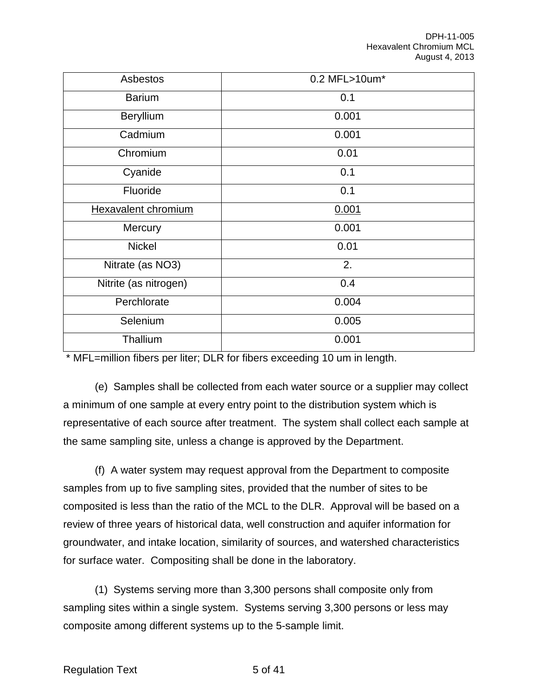| Asbestos              | 0.2 MFL>10um* |
|-----------------------|---------------|
| <b>Barium</b>         | 0.1           |
| Beryllium             | 0.001         |
| Cadmium               | 0.001         |
| Chromium              | 0.01          |
| Cyanide               | 0.1           |
| Fluoride              | 0.1           |
| Hexavalent chromium   | 0.001         |
| Mercury               | 0.001         |
| <b>Nickel</b>         | 0.01          |
| Nitrate (as NO3)      | 2.            |
| Nitrite (as nitrogen) | 0.4           |
| Perchlorate           | 0.004         |
| Selenium              | 0.005         |
| Thallium              | 0.001         |

\* MFL=million fibers per liter; DLR for fibers exceeding 10 um in length.

(e) Samples shall be collected from each water source or a supplier may collect a minimum of one sample at every entry point to the distribution system which is representative of each source after treatment. The system shall collect each sample at the same sampling site, unless a change is approved by the Department.

(f) A water system may request approval from the Department to composite samples from up to five sampling sites, provided that the number of sites to be composited is less than the ratio of the MCL to the DLR. Approval will be based on a review of three years of historical data, well construction and aquifer information for groundwater, and intake location, similarity of sources, and watershed characteristics for surface water. Compositing shall be done in the laboratory.

(1) Systems serving more than 3,300 persons shall composite only from sampling sites within a single system. Systems serving 3,300 persons or less may composite among different systems up to the 5-sample limit.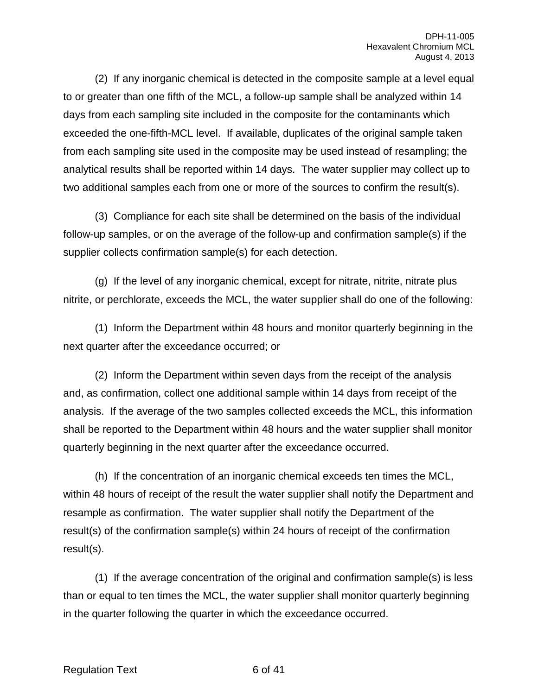(2) If any inorganic chemical is detected in the composite sample at a level equal to or greater than one fifth of the MCL, a follow-up sample shall be analyzed within 14 days from each sampling site included in the composite for the contaminants which exceeded the one-fifth-MCL level. If available, duplicates of the original sample taken from each sampling site used in the composite may be used instead of resampling; the analytical results shall be reported within 14 days. The water supplier may collect up to two additional samples each from one or more of the sources to confirm the result(s).

(3) Compliance for each site shall be determined on the basis of the individual follow-up samples, or on the average of the follow-up and confirmation sample(s) if the supplier collects confirmation sample(s) for each detection.

(g) If the level of any inorganic chemical, except for nitrate, nitrite, nitrate plus nitrite, or perchlorate, exceeds the MCL, the water supplier shall do one of the following:

(1) Inform the Department within 48 hours and monitor quarterly beginning in the next quarter after the exceedance occurred; or

(2) Inform the Department within seven days from the receipt of the analysis and, as confirmation, collect one additional sample within 14 days from receipt of the analysis. If the average of the two samples collected exceeds the MCL, this information shall be reported to the Department within 48 hours and the water supplier shall monitor quarterly beginning in the next quarter after the exceedance occurred.

(h) If the concentration of an inorganic chemical exceeds ten times the MCL, within 48 hours of receipt of the result the water supplier shall notify the Department and resample as confirmation. The water supplier shall notify the Department of the result(s) of the confirmation sample(s) within 24 hours of receipt of the confirmation result(s).

(1) If the average concentration of the original and confirmation sample(s) is less than or equal to ten times the MCL, the water supplier shall monitor quarterly beginning in the quarter following the quarter in which the exceedance occurred.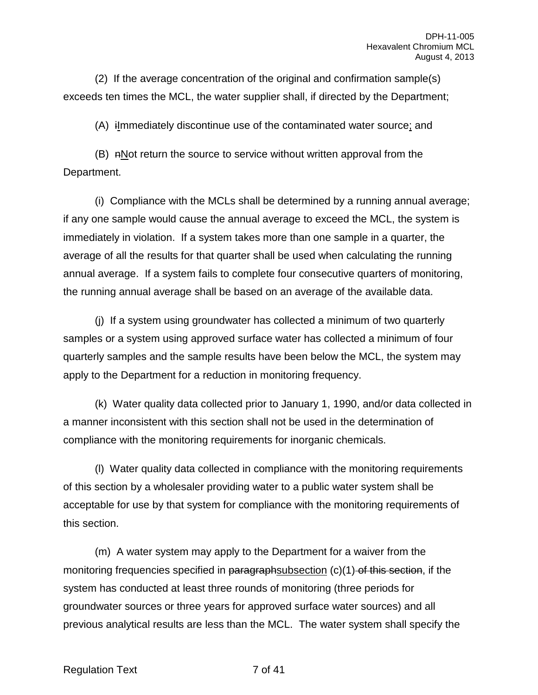(2) If the average concentration of the original and confirmation sample(s) exceeds ten times the MCL, the water supplier shall, if directed by the Department;

(A) iImmediately discontinue use of the contaminated water source; and

 $(B)$  nNot return the source to service without written approval from the Department.

(i) Compliance with the MCLs shall be determined by a running annual average; if any one sample would cause the annual average to exceed the MCL, the system is immediately in violation. If a system takes more than one sample in a quarter, the average of all the results for that quarter shall be used when calculating the running annual average. If a system fails to complete four consecutive quarters of monitoring, the running annual average shall be based on an average of the available data.

(j) If a system using groundwater has collected a minimum of two quarterly samples or a system using approved surface water has collected a minimum of four quarterly samples and the sample results have been below the MCL, the system may apply to the Department for a reduction in monitoring frequency.

(k) Water quality data collected prior to January 1, 1990, and/or data collected in a manner inconsistent with this section shall not be used in the determination of compliance with the monitoring requirements for inorganic chemicals.

(l) Water quality data collected in compliance with the monitoring requirements of this section by a wholesaler providing water to a public water system shall be acceptable for use by that system for compliance with the monitoring requirements of this section.

(m) A water system may apply to the Department for a waiver from the monitoring frequencies specified in paragraphsubsection  $(c)(1)$  of this section, if the system has conducted at least three rounds of monitoring (three periods for groundwater sources or three years for approved surface water sources) and all previous analytical results are less than the MCL. The water system shall specify the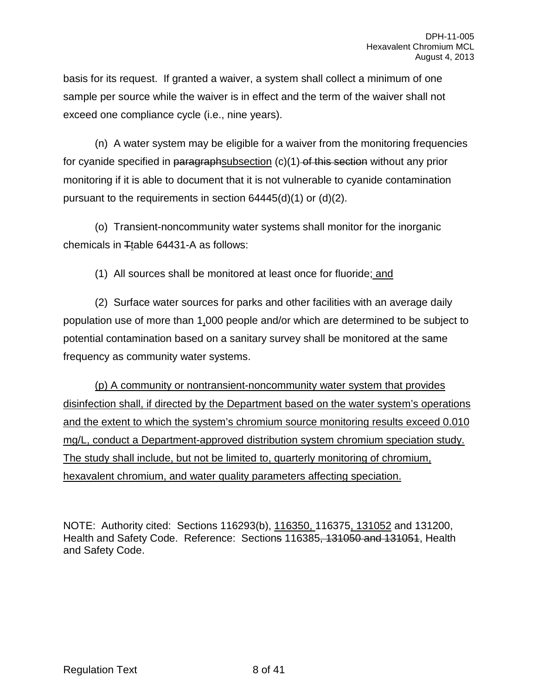basis for its request. If granted a waiver, a system shall collect a minimum of one sample per source while the waiver is in effect and the term of the waiver shall not exceed one compliance cycle (i.e., nine years).

(n) A water system may be eligible for a waiver from the monitoring frequencies for cyanide specified in paragraphsubsection  $(c)(1)$  of this section without any prior monitoring if it is able to document that it is not vulnerable to cyanide contamination pursuant to the requirements in section 64445(d)(1) or (d)(2).

(o) Transient-noncommunity water systems shall monitor for the inorganic chemicals in  $T$ table 64431-A as follows:

(1) All sources shall be monitored at least once for fluoride; and

(2) Surface water sources for parks and other facilities with an average daily population use of more than 1,000 people and/or which are determined to be subject to potential contamination based on a sanitary survey shall be monitored at the same frequency as community water systems.

(p) A community or nontransient-noncommunity water system that provides disinfection shall, if directed by the Department based on the water system's operations and the extent to which the system's chromium source monitoring results exceed 0.010 mg/L, conduct a Department-approved distribution system chromium speciation study. The study shall include, but not be limited to, quarterly monitoring of chromium, hexavalent chromium, and water quality parameters affecting speciation.

NOTE: Authority cited: Sections 116293(b), 116350, 116375, 131052 and 131200, Health and Safety Code. Reference: Sections 116385, 131050 and 131051, Health and Safety Code.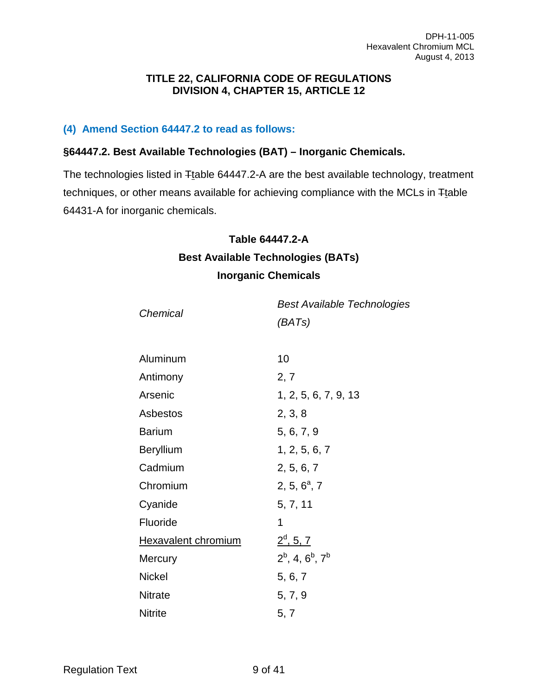#### **TITLE 22, CALIFORNIA CODE OF REGULATIONS DIVISION 4, CHAPTER 15, ARTICLE 12**

#### **(4) Amend Section 64447.2 to read as follows:**

#### **§64447.2. Best Available Technologies (BAT) – Inorganic Chemicals.**

The technologies listed in Ttable 64447.2-A are the best available technology, treatment techniques, or other means available for achieving compliance with the MCLs in Ttable 64431-A for inorganic chemicals.

#### **Table 64447.2-A**

## **Best Available Technologies (BATs) Inorganic Chemicals**

| Chemical                   | <b>Best Available Technologies</b> |
|----------------------------|------------------------------------|
|                            | (BATs)                             |
|                            |                                    |
| Aluminum                   | 10                                 |
| Antimony                   | 2, 7                               |
| Arsenic                    | 1, 2, 5, 6, 7, 9, 13               |
| Asbestos                   | 2, 3, 8                            |
| <b>Barium</b>              | 5, 6, 7, 9                         |
| <b>Beryllium</b>           | 1, 2, 5, 6, 7                      |
| Cadmium                    | 2, 5, 6, 7                         |
| Chromium                   | 2, 5, $6^{\circ}$ , 7              |
| Cyanide                    | 5, 7, 11                           |
| Fluoride                   | 1                                  |
| <b>Hexavalent chromium</b> | $2^d$ , 5, 7                       |
| Mercury                    | $2^b$ , 4, $6^b$ , $7^b$           |
| <b>Nickel</b>              | 5, 6, 7                            |
| <b>Nitrate</b>             | 5, 7, 9                            |
| <b>Nitrite</b>             | 5, 7                               |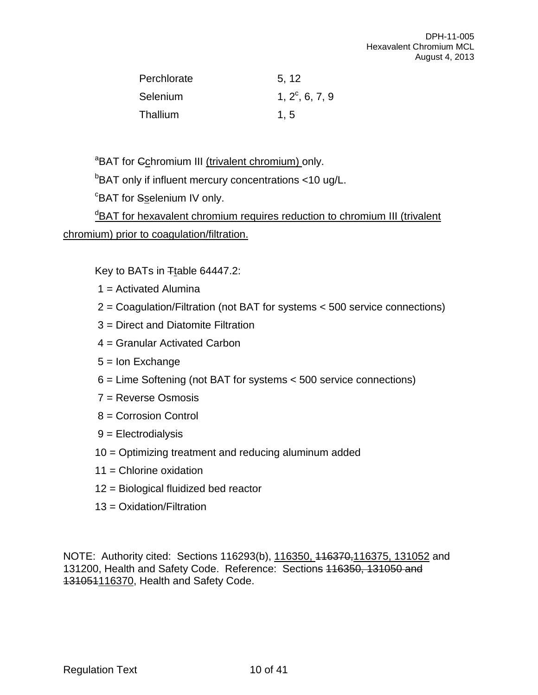| Perchlorate | 5, 12             |
|-------------|-------------------|
| Selenium    | $1, 2^c, 6, 7, 9$ |
| Thallium    | 1.5               |

<sup>a</sup>BAT for Cchromium III (trivalent chromium) only.

<sup>b</sup>BAT only if influent mercury concentrations <10 ug/L.

<sup>c</sup>BAT for Sselenium IV only.

dBAT for hexavalent chromium requires reduction to chromium III (trivalent chromium) prior to coagulation/filtration.

Key to BATs in Ttable 64447.2:

- 1 = Activated Alumina
- 2 = Coagulation/Filtration (not BAT for systems < 500 service connections)
- 3 = Direct and Diatomite Filtration
- 4 = Granular Activated Carbon
- 5 = Ion Exchange
- 6 = Lime Softening (not BAT for systems < 500 service connections)
- 7 = Reverse Osmosis
- 8 = Corrosion Control
- 9 = Electrodialysis
- 10 = Optimizing treatment and reducing aluminum added
- 11 = Chlorine oxidation
- 12 = Biological fluidized bed reactor
- 13 = Oxidation/Filtration

NOTE: Authority cited: Sections 116293(b), 116350, 116370, 116375, 131052 and 131200, Health and Safety Code. Reference: Sections 116350, 131050 and 131051116370, Health and Safety Code.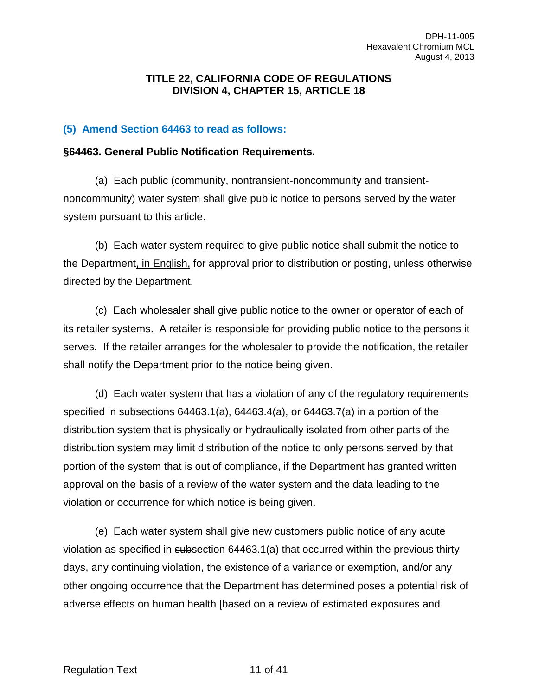#### **TITLE 22, CALIFORNIA CODE OF REGULATIONS DIVISION 4, CHAPTER 15, ARTICLE 18**

#### **(5) Amend Section 64463 to read as follows:**

#### **§64463. General Public Notification Requirements.**

(a) Each public (community, nontransient-noncommunity and transientnoncommunity) water system shall give public notice to persons served by the water system pursuant to this article.

(b) Each water system required to give public notice shall submit the notice to the Department, in English, for approval prior to distribution or posting, unless otherwise directed by the Department.

(c) Each wholesaler shall give public notice to the owner or operator of each of its retailer systems. A retailer is responsible for providing public notice to the persons it serves. If the retailer arranges for the wholesaler to provide the notification, the retailer shall notify the Department prior to the notice being given.

(d) Each water system that has a violation of any of the regulatory requirements specified in subsections 64463.1(a), 64463.4(a), or 64463.7(a) in a portion of the distribution system that is physically or hydraulically isolated from other parts of the distribution system may limit distribution of the notice to only persons served by that portion of the system that is out of compliance, if the Department has granted written approval on the basis of a review of the water system and the data leading to the violation or occurrence for which notice is being given.

(e) Each water system shall give new customers public notice of any acute violation as specified in subsection 64463.1(a) that occurred within the previous thirty days, any continuing violation, the existence of a variance or exemption, and/or any other ongoing occurrence that the Department has determined poses a potential risk of adverse effects on human health [based on a review of estimated exposures and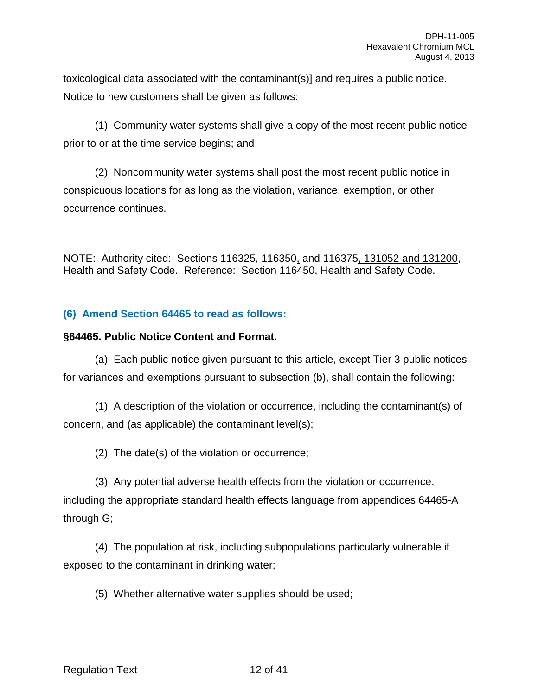toxicological data associated with the contaminant(s)] and requires a public notice. Notice to new customers shall be given as follows:

(1) Community water systems shall give a copy of the most recent public notice prior to or at the time service begins; and

(2) Noncommunity water systems shall post the most recent public notice in conspicuous locations for as long as the violation, variance, exemption, or other occurrence continues.

NOTE: Authority cited: Sections 116325, 116350, and 116375, 131052 and 131200, Health and Safety Code. Reference: Section 116450, Health and Safety Code.

## **(6) Amend Section 64465 to read as follows:**

#### **§64465. Public Notice Content and Format.**

(a) Each public notice given pursuant to this article, except Tier 3 public notices for variances and exemptions pursuant to subsection (b), shall contain the following:

(1) A description of the violation or occurrence, including the contaminant(s) of concern, and (as applicable) the contaminant level(s);

(2) The date(s) of the violation or occurrence;

(3) Any potential adverse health effects from the violation or occurrence, including the appropriate standard health effects language from appendices 64465-A through G;

(4) The population at risk, including subpopulations particularly vulnerable if exposed to the contaminant in drinking water;

(5) Whether alternative water supplies should be used;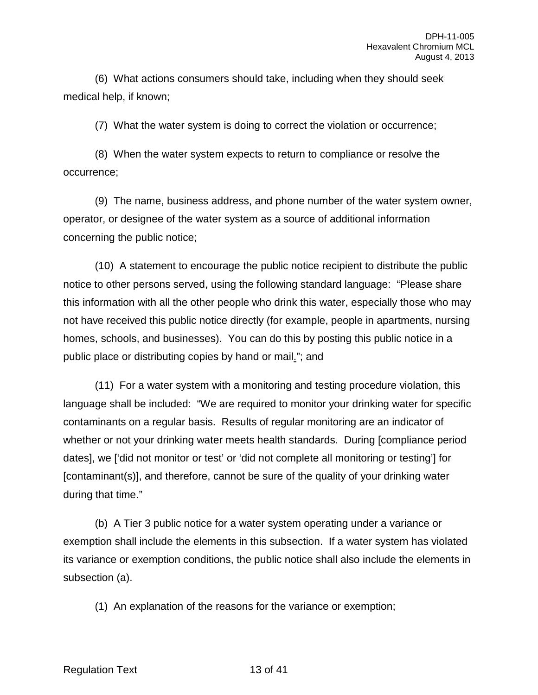(6) What actions consumers should take, including when they should seek medical help, if known;

(7) What the water system is doing to correct the violation or occurrence;

(8) When the water system expects to return to compliance or resolve the occurrence;

(9) The name, business address, and phone number of the water system owner, operator, or designee of the water system as a source of additional information concerning the public notice;

(10) A statement to encourage the public notice recipient to distribute the public notice to other persons served, using the following standard language: "Please share this information with all the other people who drink this water, especially those who may not have received this public notice directly (for example, people in apartments, nursing homes, schools, and businesses). You can do this by posting this public notice in a public place or distributing copies by hand or mail."; and

(11) For a water system with a monitoring and testing procedure violation, this language shall be included: "We are required to monitor your drinking water for specific contaminants on a regular basis. Results of regular monitoring are an indicator of whether or not your drinking water meets health standards. During [compliance period dates], we ['did not monitor or test' or 'did not complete all monitoring or testing'] for [contaminant(s)], and therefore, cannot be sure of the quality of your drinking water during that time."

(b) A Tier 3 public notice for a water system operating under a variance or exemption shall include the elements in this subsection. If a water system has violated its variance or exemption conditions, the public notice shall also include the elements in subsection (a).

(1) An explanation of the reasons for the variance or exemption;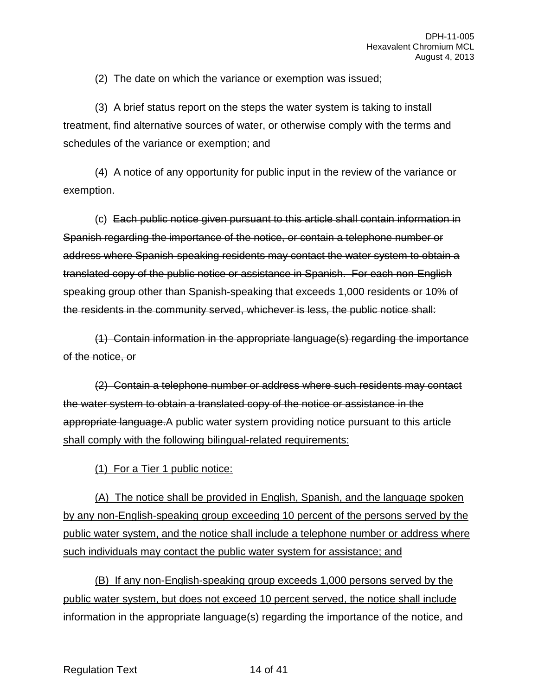(2) The date on which the variance or exemption was issued;

(3) A brief status report on the steps the water system is taking to install treatment, find alternative sources of water, or otherwise comply with the terms and schedules of the variance or exemption; and

(4) A notice of any opportunity for public input in the review of the variance or exemption.

(c) Each public notice given pursuant to this article shall contain information in Spanish regarding the importance of the notice, or contain a telephone number or address where Spanish-speaking residents may contact the water system to obtain a translated copy of the public notice or assistance in Spanish. For each non-English speaking group other than Spanish-speaking that exceeds 1,000 residents or 10% of the residents in the community served, whichever is less, the public notice shall:

(1) Contain information in the appropriate language(s) regarding the importance of the notice, or

(2) Contain a telephone number or address where such residents may contact the water system to obtain a translated copy of the notice or assistance in the appropriate language.A public water system providing notice pursuant to this article shall comply with the following bilingual-related requirements:

(1) For a Tier 1 public notice:

(A) The notice shall be provided in English, Spanish, and the language spoken by any non-English-speaking group exceeding 10 percent of the persons served by the public water system, and the notice shall include a telephone number or address where such individuals may contact the public water system for assistance; and

(B) If any non-English-speaking group exceeds 1,000 persons served by the public water system, but does not exceed 10 percent served, the notice shall include information in the appropriate language(s) regarding the importance of the notice, and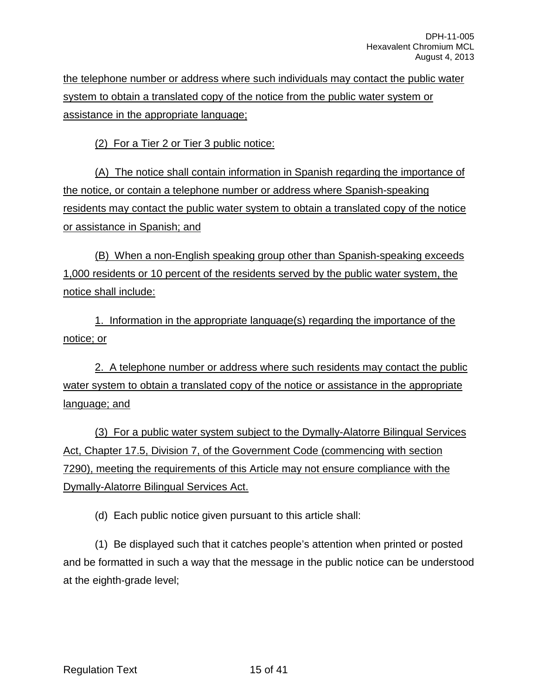the telephone number or address where such individuals may contact the public water system to obtain a translated copy of the notice from the public water system or assistance in the appropriate language;

(2) For a Tier 2 or Tier 3 public notice:

(A) The notice shall contain information in Spanish regarding the importance of the notice, or contain a telephone number or address where Spanish-speaking residents may contact the public water system to obtain a translated copy of the notice or assistance in Spanish; and

(B) When a non-English speaking group other than Spanish-speaking exceeds 1,000 residents or 10 percent of the residents served by the public water system, the notice shall include:

1. Information in the appropriate language(s) regarding the importance of the notice; or

2. A telephone number or address where such residents may contact the public water system to obtain a translated copy of the notice or assistance in the appropriate language; and

(3) For a public water system subject to the Dymally-Alatorre Bilingual Services Act, Chapter 17.5, Division 7, of the Government Code (commencing with section 7290), meeting the requirements of this Article may not ensure compliance with the Dymally-Alatorre Bilingual Services Act.

(d) Each public notice given pursuant to this article shall:

(1) Be displayed such that it catches people's attention when printed or posted and be formatted in such a way that the message in the public notice can be understood at the eighth-grade level;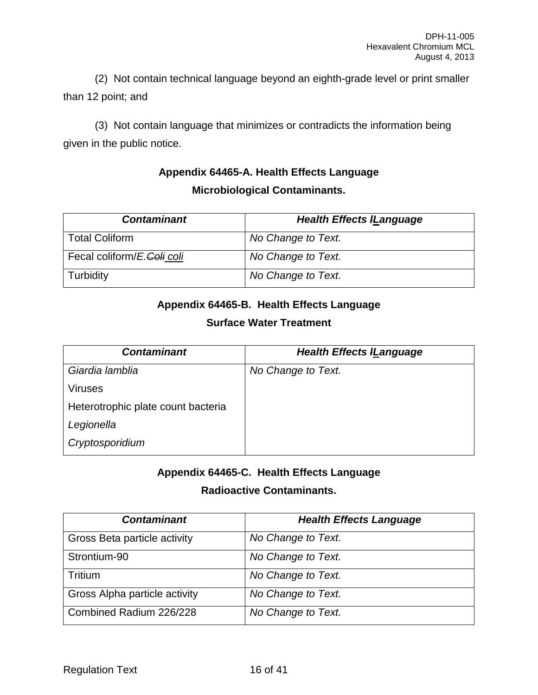(2) Not contain technical language beyond an eighth-grade level or print smaller than 12 point; and

(3) Not contain language that minimizes or contradicts the information being given in the public notice.

## **Appendix 64465-A. Health Effects Language Microbiological Contaminants.**

| <b>Contaminant</b>         | <b>Health Effects ILanguage</b> |
|----------------------------|---------------------------------|
| <b>Total Coliform</b>      | No Change to Text.              |
| Fecal coliform/E.Coli coli | No Change to Text.              |
| Turbidity                  | No Change to Text.              |

## **Appendix 64465-B. Health Effects Language**

## **Surface Water Treatment**

| <b>Contaminant</b>                 | <b>Health Effects ILanguage</b> |
|------------------------------------|---------------------------------|
| Giardia lamblia                    | No Change to Text.              |
| <b>Viruses</b>                     |                                 |
| Heterotrophic plate count bacteria |                                 |
| Legionella                         |                                 |
| Cryptosporidium                    |                                 |

## **Appendix 64465-C. Health Effects Language**

## **Radioactive Contaminants.**

| <b>Contaminant</b>            | <b>Health Effects Language</b> |
|-------------------------------|--------------------------------|
| Gross Beta particle activity  | No Change to Text.             |
| Strontium-90                  | No Change to Text.             |
| Tritium                       | No Change to Text.             |
| Gross Alpha particle activity | No Change to Text.             |
| Combined Radium 226/228       | No Change to Text.             |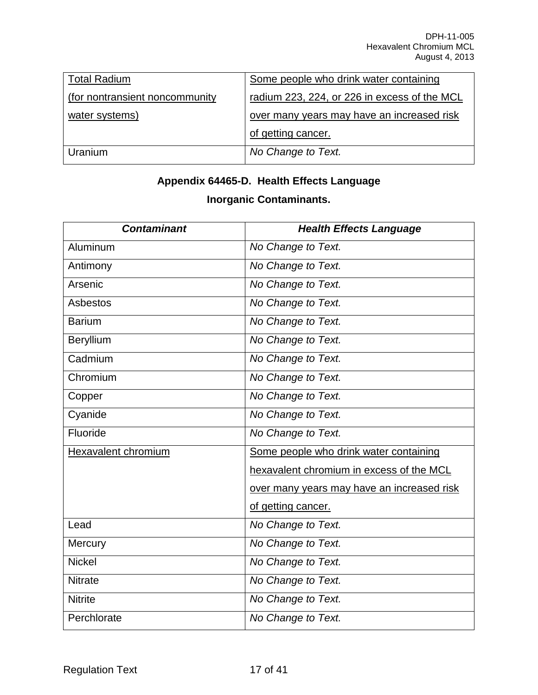| <b>Total Radium</b>             | Some people who drink water containing       |
|---------------------------------|----------------------------------------------|
| (for nontransient noncommunity) | radium 223, 224, or 226 in excess of the MCL |
| water systems)                  | over many years may have an increased risk   |
|                                 | of getting cancer.                           |
| Uranium                         | No Change to Text.                           |

# **Appendix 64465-D. Health Effects Language Inorganic Contaminants.**

| <b>Contaminant</b>  | <b>Health Effects Language</b>             |
|---------------------|--------------------------------------------|
| Aluminum            | No Change to Text.                         |
| Antimony            | No Change to Text.                         |
| Arsenic             | No Change to Text.                         |
| <b>Asbestos</b>     | No Change to Text.                         |
| <b>Barium</b>       | No Change to Text.                         |
| Beryllium           | No Change to Text.                         |
| Cadmium             | No Change to Text.                         |
| Chromium            | No Change to Text.                         |
| Copper              | No Change to Text.                         |
| Cyanide             | No Change to Text.                         |
| Fluoride            | No Change to Text.                         |
| Hexavalent chromium | Some people who drink water containing     |
|                     | hexavalent chromium in excess of the MCL   |
|                     | over many years may have an increased risk |
|                     | of getting cancer.                         |
| Lead                | No Change to Text.                         |
| Mercury             | No Change to Text.                         |
| <b>Nickel</b>       | No Change to Text.                         |
| <b>Nitrate</b>      | No Change to Text.                         |
| <b>Nitrite</b>      | No Change to Text.                         |
| Perchlorate         | No Change to Text.                         |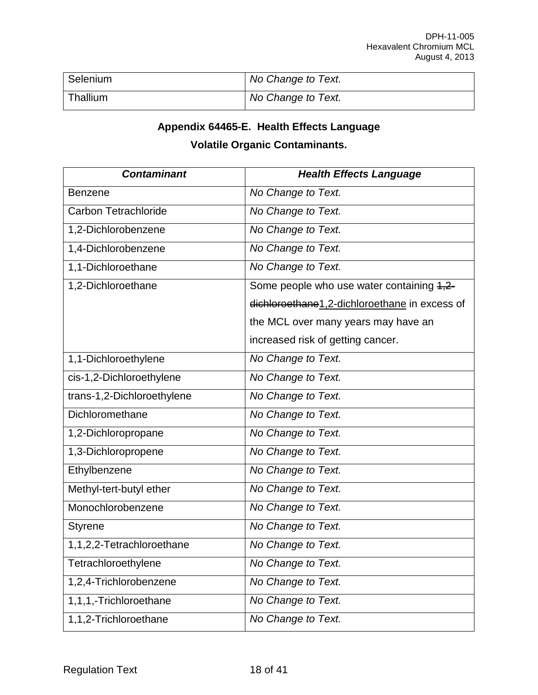| Selenium | No Change to Text. |
|----------|--------------------|
| Thallium | No Change to Text. |

## **Appendix 64465-E. Health Effects Language**

## **Volatile Organic Contaminants.**

| <b>Contaminant</b>          | <b>Health Effects Language</b>                |
|-----------------------------|-----------------------------------------------|
| <b>Benzene</b>              | No Change to Text.                            |
| <b>Carbon Tetrachloride</b> | No Change to Text.                            |
| 1,2-Dichlorobenzene         | No Change to Text.                            |
| 1,4-Dichlorobenzene         | No Change to Text.                            |
| 1,1-Dichloroethane          | No Change to Text.                            |
| 1,2-Dichloroethane          | Some people who use water containing 4,2-     |
|                             | dichloroethane1,2-dichloroethane in excess of |
|                             | the MCL over many years may have an           |
|                             | increased risk of getting cancer.             |
| 1,1-Dichloroethylene        | No Change to Text.                            |
| cis-1,2-Dichloroethylene    | No Change to Text.                            |
| trans-1,2-Dichloroethylene  | No Change to Text.                            |
| Dichloromethane             | No Change to Text.                            |
| 1,2-Dichloropropane         | No Change to Text.                            |
| 1,3-Dichloropropene         | No Change to Text.                            |
| Ethylbenzene                | No Change to Text.                            |
| Methyl-tert-butyl ether     | No Change to Text.                            |
| Monochlorobenzene           | No Change to Text.                            |
| <b>Styrene</b>              | No Change to Text.                            |
| 1,1,2,2-Tetrachloroethane   | No Change to Text.                            |
| Tetrachloroethylene         | No Change to Text.                            |
| 1,2,4-Trichlorobenzene      | No Change to Text.                            |
| 1,1,1,-Trichloroethane      | No Change to Text.                            |
| 1,1,2-Trichloroethane       | No Change to Text.                            |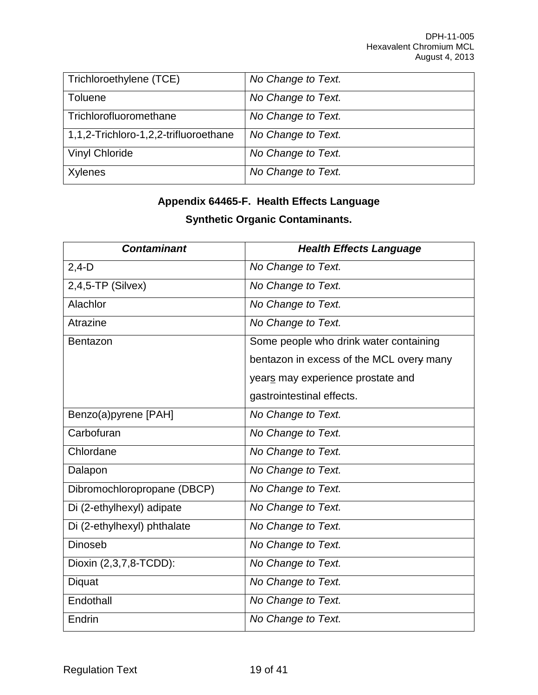| Trichloroethylene (TCE)               | No Change to Text. |
|---------------------------------------|--------------------|
| Toluene                               | No Change to Text. |
| Trichlorofluoromethane                | No Change to Text. |
| 1,1,2-Trichloro-1,2,2-trifluoroethane | No Change to Text. |
| <b>Vinyl Chloride</b>                 | No Change to Text. |
| Xylenes                               | No Change to Text. |

## **Appendix 64465-F. Health Effects Language**

## **Synthetic Organic Contaminants.**

| <b>Contaminant</b>          | <b>Health Effects Language</b>           |
|-----------------------------|------------------------------------------|
| $2,4-D$                     | No Change to Text.                       |
| $2,4,5$ -TP (Silvex)        | No Change to Text.                       |
| Alachlor                    | No Change to Text.                       |
| Atrazine                    | No Change to Text.                       |
| Bentazon                    | Some people who drink water containing   |
|                             | bentazon in excess of the MCL overy many |
|                             | years may experience prostate and        |
|                             | gastrointestinal effects.                |
| Benzo(a)pyrene [PAH]        | No Change to Text.                       |
| Carbofuran                  | No Change to Text.                       |
| Chlordane                   | No Change to Text.                       |
| Dalapon                     | No Change to Text.                       |
| Dibromochloropropane (DBCP) | No Change to Text.                       |
| Di (2-ethylhexyl) adipate   | No Change to Text.                       |
| Di (2-ethylhexyl) phthalate | No Change to Text.                       |
| <b>Dinoseb</b>              | No Change to Text.                       |
| Dioxin (2,3,7,8-TCDD):      | No Change to Text.                       |
| Diquat                      | No Change to Text.                       |
| Endothall                   | No Change to Text.                       |
| Endrin                      | No Change to Text.                       |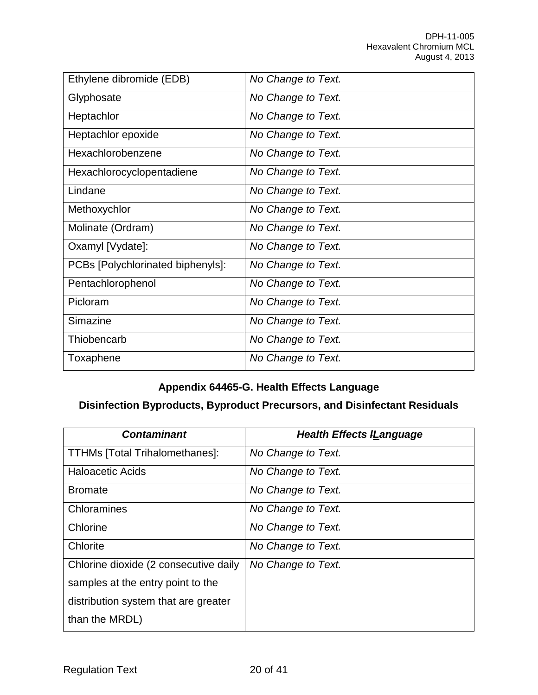| Ethylene dibromide (EDB)          | No Change to Text. |
|-----------------------------------|--------------------|
| Glyphosate                        | No Change to Text. |
| Heptachlor                        | No Change to Text. |
| Heptachlor epoxide                | No Change to Text. |
| Hexachlorobenzene                 | No Change to Text. |
| Hexachlorocyclopentadiene         | No Change to Text. |
| Lindane                           | No Change to Text. |
| Methoxychlor                      | No Change to Text. |
| Molinate (Ordram)                 | No Change to Text. |
| Oxamyl [Vydate]:                  | No Change to Text. |
| PCBs [Polychlorinated biphenyls]: | No Change to Text. |
| Pentachlorophenol                 | No Change to Text. |
| Picloram                          | No Change to Text. |
| Simazine                          | No Change to Text. |
| Thiobencarb                       | No Change to Text. |
| Toxaphene                         | No Change to Text. |

## **Appendix 64465-G. Health Effects Language**

## **Disinfection Byproducts, Byproduct Precursors, and Disinfectant Residuals**

| <b>Contaminant</b>                    | <b>Health Effects ILanguage</b> |
|---------------------------------------|---------------------------------|
| <b>TTHMs [Total Trihalomethanes]:</b> | No Change to Text.              |
| <b>Haloacetic Acids</b>               | No Change to Text.              |
| <b>Bromate</b>                        | No Change to Text.              |
| Chloramines                           | No Change to Text.              |
| Chlorine                              | No Change to Text.              |
| Chlorite                              | No Change to Text.              |
| Chlorine dioxide (2 consecutive daily | No Change to Text.              |
| samples at the entry point to the     |                                 |
| distribution system that are greater  |                                 |
| than the MRDL)                        |                                 |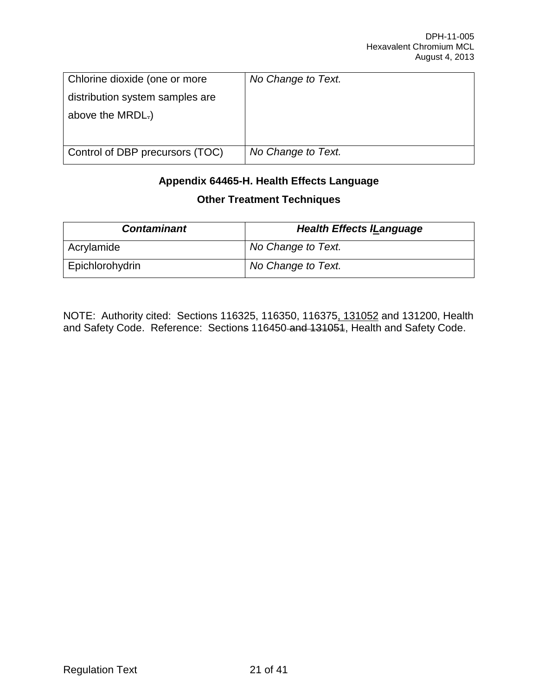| Chlorine dioxide (one or more   | No Change to Text. |
|---------------------------------|--------------------|
| distribution system samples are |                    |
| above the MRDL.)                |                    |
|                                 |                    |
| Control of DBP precursors (TOC) | No Change to Text. |

## **Appendix 64465-H. Health Effects Language Other Treatment Techniques**

| <b>Contaminant</b> | <b>Health Effects ILanguage</b> |
|--------------------|---------------------------------|
| Acrylamide         | No Change to Text.              |
| Epichlorohydrin    | No Change to Text.              |

NOTE: Authority cited: Sections 116325, 116350, 116375, 131052 and 131200, Health and Safety Code. Reference: Sections 116450 and 131051, Health and Safety Code.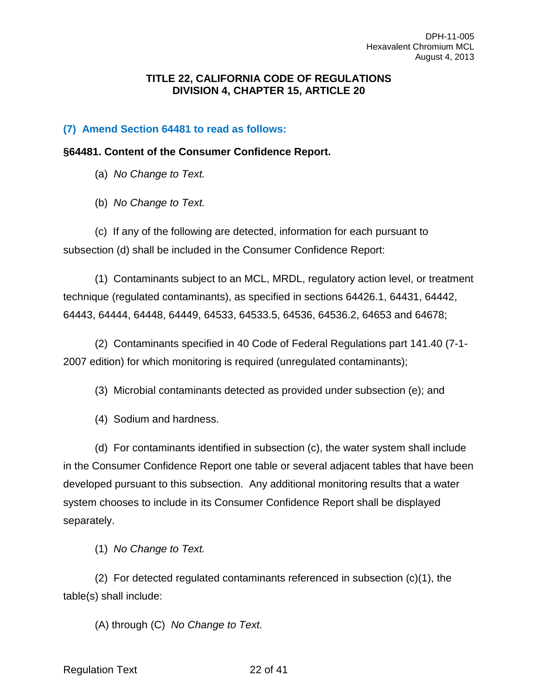#### **TITLE 22, CALIFORNIA CODE OF REGULATIONS DIVISION 4, CHAPTER 15, ARTICLE 20**

#### **(7) Amend Section 64481 to read as follows:**

#### **§64481. Content of the Consumer Confidence Report.**

(a) *No Change to Text.*

(b) *No Change to Text.*

(c) If any of the following are detected, information for each pursuant to subsection (d) shall be included in the Consumer Confidence Report:

(1) Contaminants subject to an MCL, MRDL, regulatory action level, or treatment technique (regulated contaminants), as specified in sections 64426.1, 64431, 64442, 64443, 64444, 64448, 64449, 64533, 64533.5, 64536, 64536.2, 64653 and 64678;

(2) Contaminants specified in 40 Code of Federal Regulations part 141.40 (7-1- 2007 edition) for which monitoring is required (unregulated contaminants);

(3) Microbial contaminants detected as provided under subsection (e); and

(4) Sodium and hardness.

(d) For contaminants identified in subsection (c), the water system shall include in the Consumer Confidence Report one table or several adjacent tables that have been developed pursuant to this subsection. Any additional monitoring results that a water system chooses to include in its Consumer Confidence Report shall be displayed separately.

(1) *No Change to Text.*

(2) For detected regulated contaminants referenced in subsection (c)(1), the table(s) shall include:

(A) through (C) *No Change to Text.*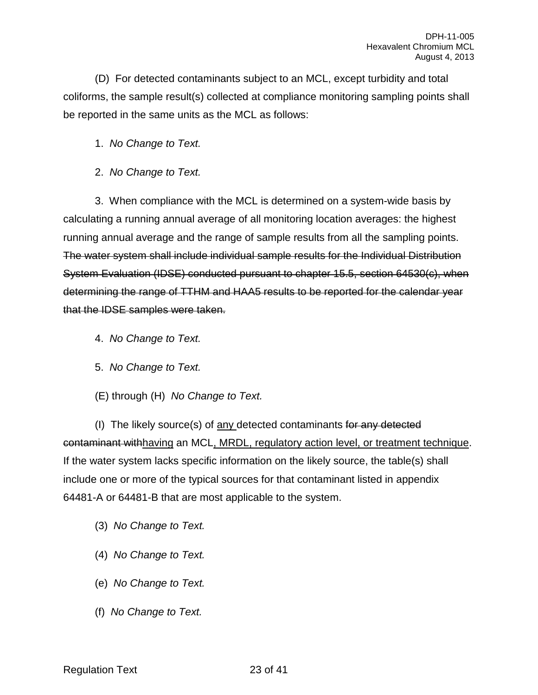(D) For detected contaminants subject to an MCL, except turbidity and total coliforms, the sample result(s) collected at compliance monitoring sampling points shall be reported in the same units as the MCL as follows:

1. *No Change to Text.*

2. *No Change to Text.*

3. When compliance with the MCL is determined on a system-wide basis by calculating a running annual average of all monitoring location averages: the highest running annual average and the range of sample results from all the sampling points. The water system shall include individual sample results for the Individual Distribution System Evaluation (IDSE) conducted pursuant to chapter 15.5, section 64530(c), when determining the range of TTHM and HAA5 results to be reported for the calendar year that the IDSE samples were taken.

- 4. *No Change to Text.*
- 5. *No Change to Text.*
- (E) through (H) *No Change to Text.*

(I) The likely source(s) of any detected contaminants for any detected contaminant withhaving an MCL, MRDL, regulatory action level, or treatment technique. If the water system lacks specific information on the likely source, the table(s) shall include one or more of the typical sources for that contaminant listed in appendix 64481-A or 64481-B that are most applicable to the system.

- (3) *No Change to Text.*
- (4) *No Change to Text.*
- (e) *No Change to Text.*
- (f) *No Change to Text.*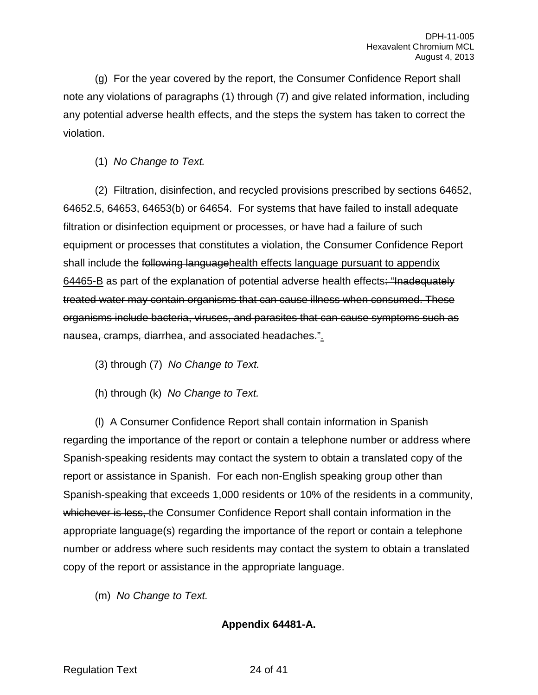(g) For the year covered by the report, the Consumer Confidence Report shall note any violations of paragraphs (1) through (7) and give related information, including any potential adverse health effects, and the steps the system has taken to correct the violation.

(1) *No Change to Text.*

(2) Filtration, disinfection, and recycled provisions prescribed by sections 64652, 64652.5, 64653, 64653(b) or 64654. For systems that have failed to install adequate filtration or disinfection equipment or processes, or have had a failure of such equipment or processes that constitutes a violation, the Consumer Confidence Report shall include the following languagehealth effects language pursuant to appendix 64465-B as part of the explanation of potential adverse health effects: "Inadequately treated water may contain organisms that can cause illness when consumed. These organisms include bacteria, viruses, and parasites that can cause symptoms such as nausea, cramps, diarrhea, and associated headaches.".

(3) through (7) *No Change to Text.*

(h) through (k) *No Change to Text.*

(l) A Consumer Confidence Report shall contain information in Spanish regarding the importance of the report or contain a telephone number or address where Spanish-speaking residents may contact the system to obtain a translated copy of the report or assistance in Spanish. For each non-English speaking group other than Spanish-speaking that exceeds 1,000 residents or 10% of the residents in a community, whichever is less, the Consumer Confidence Report shall contain information in the appropriate language(s) regarding the importance of the report or contain a telephone number or address where such residents may contact the system to obtain a translated copy of the report or assistance in the appropriate language.

(m) *No Change to Text.*

**Appendix 64481-A.**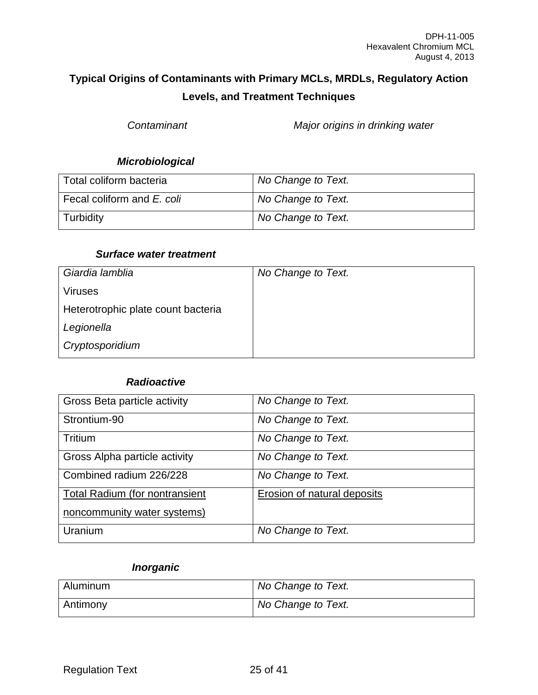## **Typical Origins of Contaminants with Primary MCLs, MRDLs, Regulatory Action Levels, and Treatment Techniques**

*Contaminant Major origins in drinking water*

## *Microbiological*

| Total coliform bacteria    | No Change to Text. |
|----------------------------|--------------------|
| Fecal coliform and E. coli | No Change to Text. |
| Turbidity                  | No Change to Text. |

#### *Surface water treatment*

| Giardia lamblia                    | No Change to Text. |
|------------------------------------|--------------------|
| <b>Viruses</b>                     |                    |
| Heterotrophic plate count bacteria |                    |
| Legionella                         |                    |
| Cryptosporidium                    |                    |

#### *Radioactive*

| Gross Beta particle activity          | No Change to Text.                 |
|---------------------------------------|------------------------------------|
| Strontium-90                          | No Change to Text.                 |
| Tritium                               | No Change to Text.                 |
| Gross Alpha particle activity         | No Change to Text.                 |
| Combined radium 226/228               | No Change to Text.                 |
| <b>Total Radium (for nontransient</b> | <b>Erosion of natural deposits</b> |
| noncommunity water systems)           |                                    |
| Uranium                               | No Change to Text.                 |

## *Inorganic*

| Aluminum | No Change to Text. |
|----------|--------------------|
| Antimony | No Change to Text. |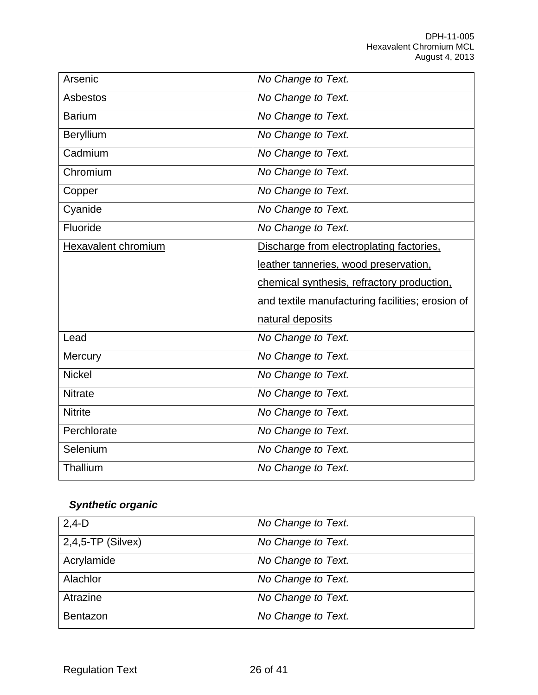| Arsenic             | No Change to Text.                               |
|---------------------|--------------------------------------------------|
| <b>Asbestos</b>     | No Change to Text.                               |
| <b>Barium</b>       | No Change to Text.                               |
| Beryllium           | No Change to Text.                               |
| Cadmium             | No Change to Text.                               |
| Chromium            | No Change to Text.                               |
| Copper              | No Change to Text.                               |
| Cyanide             | No Change to Text.                               |
| Fluoride            | No Change to Text.                               |
| Hexavalent chromium | Discharge from electroplating factories.         |
|                     | leather tanneries, wood preservation,            |
|                     |                                                  |
|                     | chemical synthesis, refractory production,       |
|                     | and textile manufacturing facilities; erosion of |
|                     | natural deposits                                 |
| Lead                | No Change to Text.                               |
| Mercury             | No Change to Text.                               |
| <b>Nickel</b>       | No Change to Text.                               |
| <b>Nitrate</b>      | No Change to Text.                               |
| <b>Nitrite</b>      | No Change to Text.                               |
| Perchlorate         | No Change to Text.                               |
| Selenium            | No Change to Text.                               |

# *Synthetic organic*

| $2,4-D$              | No Change to Text. |
|----------------------|--------------------|
| $2,4,5$ -TP (Silvex) | No Change to Text. |
| Acrylamide           | No Change to Text. |
| Alachlor             | No Change to Text. |
| Atrazine             | No Change to Text. |
| <b>Bentazon</b>      | No Change to Text. |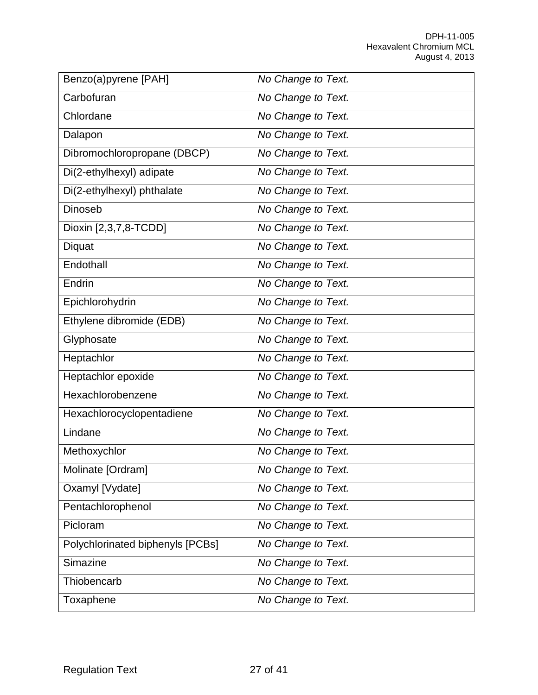| Benzo(a)pyrene [PAH]             | No Change to Text. |
|----------------------------------|--------------------|
| Carbofuran                       | No Change to Text. |
| Chlordane                        | No Change to Text. |
| Dalapon                          | No Change to Text. |
| Dibromochloropropane (DBCP)      | No Change to Text. |
| Di(2-ethylhexyl) adipate         | No Change to Text. |
| Di(2-ethylhexyl) phthalate       | No Change to Text. |
| <b>Dinoseb</b>                   | No Change to Text. |
| Dioxin [2,3,7,8-TCDD]            | No Change to Text. |
| Diquat                           | No Change to Text. |
| Endothall                        | No Change to Text. |
| Endrin                           | No Change to Text. |
| Epichlorohydrin                  | No Change to Text. |
| Ethylene dibromide (EDB)         | No Change to Text. |
| Glyphosate                       | No Change to Text. |
| Heptachlor                       | No Change to Text. |
| Heptachlor epoxide               | No Change to Text. |
| Hexachlorobenzene                | No Change to Text. |
| Hexachlorocyclopentadiene        | No Change to Text. |
| Lindane                          | No Change to Text. |
| Methoxychlor                     | No Change to Text. |
| Molinate [Ordram]                | No Change to Text. |
| Oxamyl [Vydate]                  | No Change to Text. |
| Pentachlorophenol                | No Change to Text. |
| Picloram                         | No Change to Text. |
| Polychlorinated biphenyls [PCBs] | No Change to Text. |
| Simazine                         | No Change to Text. |
| Thiobencarb                      | No Change to Text. |
| Toxaphene                        | No Change to Text. |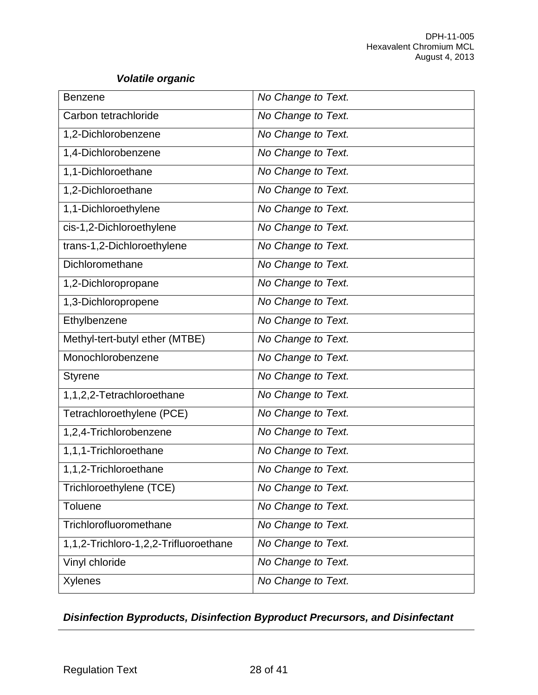## *Volatile organic*

| <b>Benzene</b>                        | No Change to Text. |
|---------------------------------------|--------------------|
| Carbon tetrachloride                  | No Change to Text. |
| 1,2-Dichlorobenzene                   | No Change to Text. |
| 1,4-Dichlorobenzene                   | No Change to Text. |
| 1,1-Dichloroethane                    | No Change to Text. |
| 1,2-Dichloroethane                    | No Change to Text. |
| 1,1-Dichloroethylene                  | No Change to Text. |
| cis-1,2-Dichloroethylene              | No Change to Text. |
| trans-1,2-Dichloroethylene            | No Change to Text. |
| Dichloromethane                       | No Change to Text. |
| 1,2-Dichloropropane                   | No Change to Text. |
| 1,3-Dichloropropene                   | No Change to Text. |
| Ethylbenzene                          | No Change to Text. |
| Methyl-tert-butyl ether (MTBE)        | No Change to Text. |
| Monochlorobenzene                     | No Change to Text. |
| <b>Styrene</b>                        | No Change to Text. |
| 1,1,2,2-Tetrachloroethane             | No Change to Text. |
| Tetrachloroethylene (PCE)             | No Change to Text. |
| 1,2,4-Trichlorobenzene                | No Change to Text. |
| 1,1,1-Trichloroethane                 | No Change to Text. |
| 1,1,2-Trichloroethane                 | No Change to Text. |
| Trichloroethylene (TCE)               | No Change to Text. |
| <b>Toluene</b>                        | No Change to Text. |
| Trichlorofluoromethane                | No Change to Text. |
| 1,1,2-Trichloro-1,2,2-Trifluoroethane | No Change to Text. |
| Vinyl chloride                        | No Change to Text. |
| <b>Xylenes</b>                        | No Change to Text. |

## *Disinfection Byproducts, Disinfection Byproduct Precursors, and Disinfectant*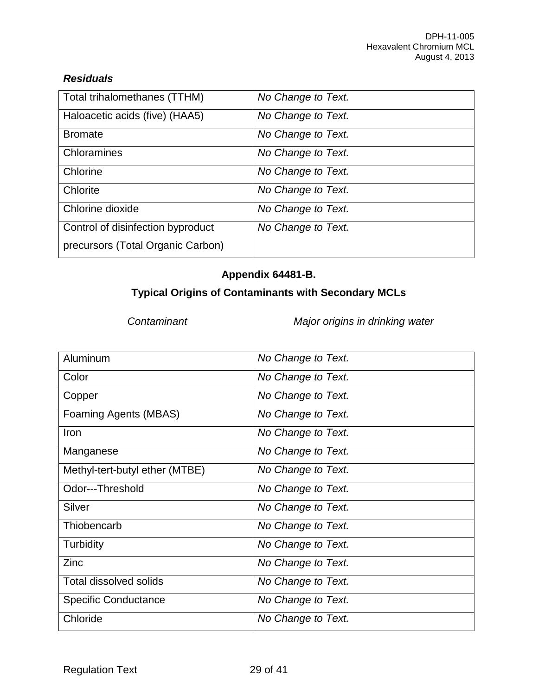## *Residuals*

| Total trihalomethanes (TTHM)      | No Change to Text. |
|-----------------------------------|--------------------|
| Haloacetic acids (five) (HAA5)    | No Change to Text. |
| <b>Bromate</b>                    | No Change to Text. |
| Chloramines                       | No Change to Text. |
| Chlorine                          | No Change to Text. |
| Chlorite                          | No Change to Text. |
| Chlorine dioxide                  | No Change to Text. |
| Control of disinfection byproduct | No Change to Text. |
| precursors (Total Organic Carbon) |                    |

## **Appendix 64481-B.**

## **Typical Origins of Contaminants with Secondary MCLs**

*Contaminant Major origins in drinking water*

| Aluminum                       | No Change to Text. |
|--------------------------------|--------------------|
| Color                          | No Change to Text. |
| Copper                         | No Change to Text. |
| Foaming Agents (MBAS)          | No Change to Text. |
| Iron                           | No Change to Text. |
| Manganese                      | No Change to Text. |
| Methyl-tert-butyl ether (MTBE) | No Change to Text. |
| Odor---Threshold               | No Change to Text. |
| Silver                         | No Change to Text. |
| Thiobencarb                    | No Change to Text. |
| Turbidity                      | No Change to Text. |
| Zinc                           | No Change to Text. |
| <b>Total dissolved solids</b>  | No Change to Text. |
| <b>Specific Conductance</b>    | No Change to Text. |
| Chloride                       | No Change to Text. |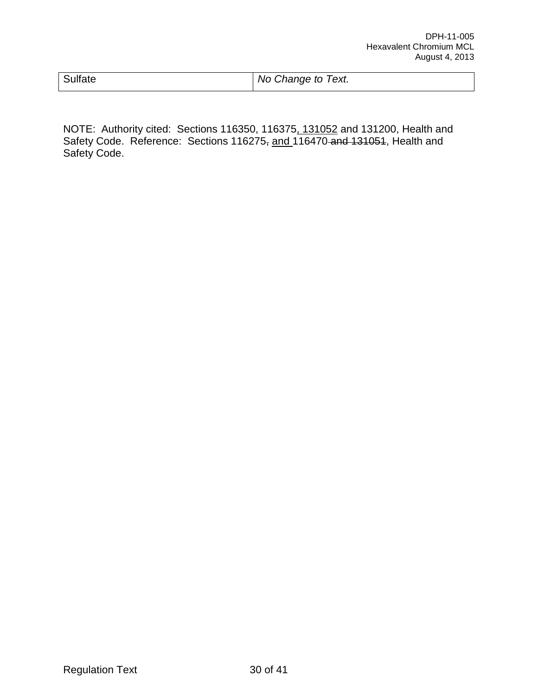| Sulfate | No Change to Text. |
|---------|--------------------|
|         |                    |

NOTE: Authority cited: Sections 116350, 116375, 131052 and 131200, Health and Safety Code. Reference: Sections 116275, and 116470 and 131051, Health and Safety Code.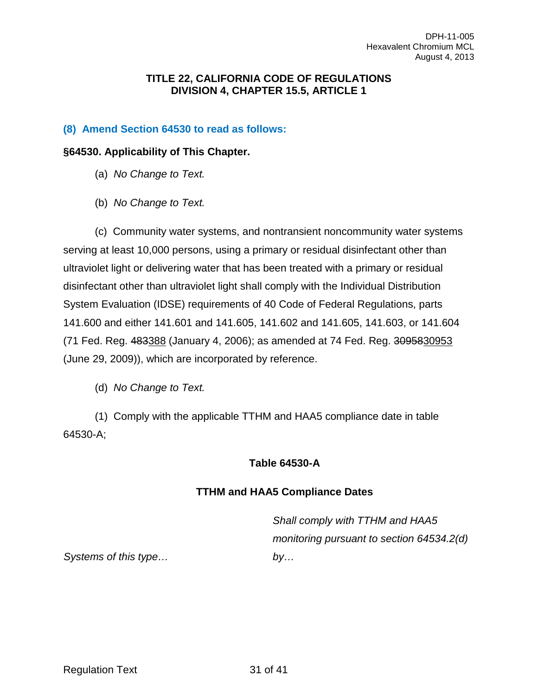#### **TITLE 22, CALIFORNIA CODE OF REGULATIONS DIVISION 4, CHAPTER 15.5, ARTICLE 1**

### **(8) Amend Section 64530 to read as follows:**

#### **§64530. Applicability of This Chapter.**

- (a) *No Change to Text.*
- (b) *No Change to Text.*

(c) Community water systems, and nontransient noncommunity water systems serving at least 10,000 persons, using a primary or residual disinfectant other than ultraviolet light or delivering water that has been treated with a primary or residual disinfectant other than ultraviolet light shall comply with the Individual Distribution System Evaluation (IDSE) requirements of 40 Code of Federal Regulations, parts 141.600 and either 141.601 and 141.605, 141.602 and 141.605, 141.603, or 141.604 (71 Fed. Reg. 483388 (January 4, 2006); as amended at 74 Fed. Reg. 3095830953 (June 29, 2009)), which are incorporated by reference.

(d) *No Change to Text.*

(1) Comply with the applicable TTHM and HAA5 compliance date in table 64530-A;

#### **Table 64530-A**

#### **TTHM and HAA5 Compliance Dates**

*Shall comply with TTHM and HAA5 monitoring pursuant to section 64534.2(d) by…* 

*Systems of this type…*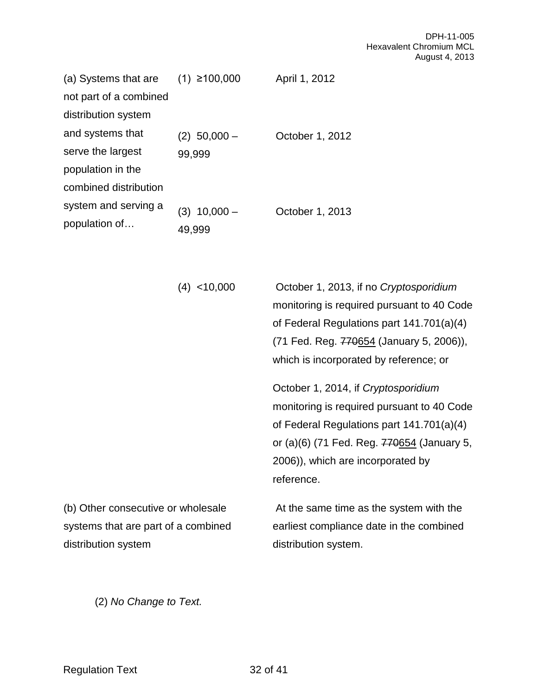| (a) Systems that are   | $(1)$ ≥100,000    | April 1, 2012   |
|------------------------|-------------------|-----------------|
| not part of a combined |                   |                 |
| distribution system    |                   |                 |
| and systems that       | $(2)$ 50,000 $-$  | October 1, 2012 |
| serve the largest      | 99,999            |                 |
| population in the      |                   |                 |
| combined distribution  |                   |                 |
| system and serving a   | $10,000 -$<br>(3) | October 1, 2013 |
| population of          | 49,999            |                 |

| $(4)$ < 10,000                      | October 1, 2013, if no Cryptosporidium<br>monitoring is required pursuant to 40 Code<br>of Federal Regulations part 141.701(a)(4)<br>(71 Fed. Reg. 770654 (January 5, 2006)),                                                   |
|-------------------------------------|---------------------------------------------------------------------------------------------------------------------------------------------------------------------------------------------------------------------------------|
|                                     | which is incorporated by reference; or                                                                                                                                                                                          |
|                                     | October 1, 2014, if Cryptosporidium<br>monitoring is required pursuant to 40 Code<br>of Federal Regulations part 141.701(a)(4)<br>or (a)(6) (71 Fed. Reg. 770654 (January 5,<br>2006)), which are incorporated by<br>reference. |
| (b) Other consecutive or wholesale  | At the same time as the system with the                                                                                                                                                                                         |
| systems that are part of a combined | earliest compliance date in the combined                                                                                                                                                                                        |
| distribution system                 | distribution system.                                                                                                                                                                                                            |

(2) *No Change to Text.*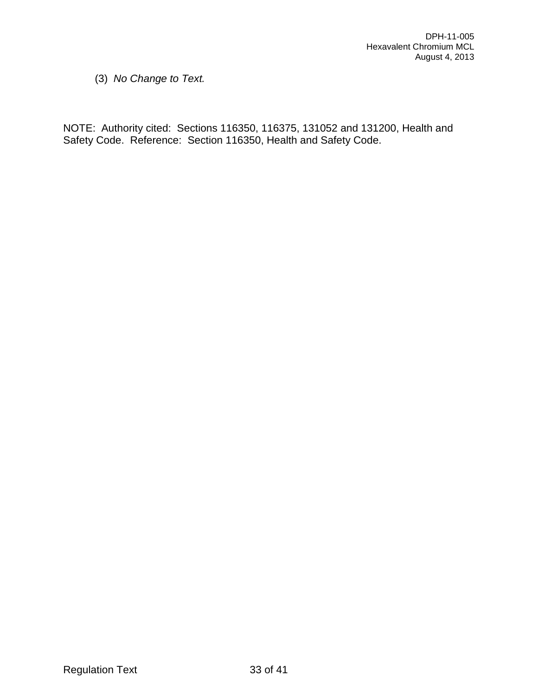(3) *No Change to Text.*

NOTE: Authority cited: Sections 116350, 116375, 131052 and 131200, Health and Safety Code. Reference: Section 116350, Health and Safety Code.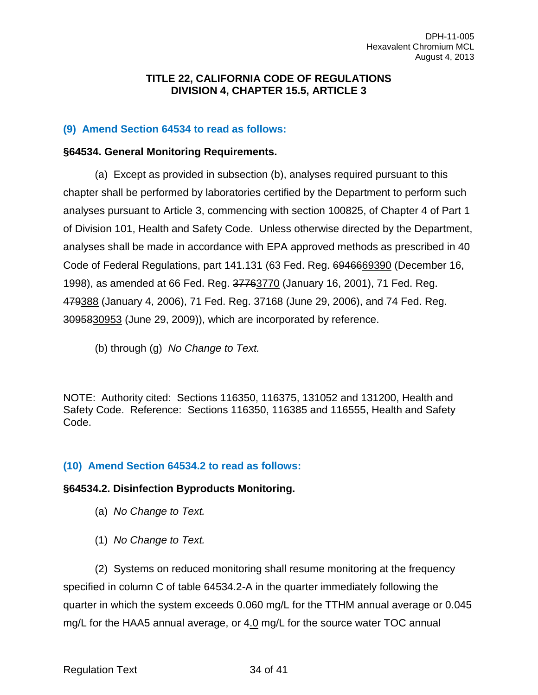#### **TITLE 22, CALIFORNIA CODE OF REGULATIONS DIVISION 4, CHAPTER 15.5, ARTICLE 3**

#### **(9) Amend Section 64534 to read as follows:**

#### **§64534. General Monitoring Requirements.**

(a) Except as provided in subsection (b), analyses required pursuant to this chapter shall be performed by laboratories certified by the Department to perform such analyses pursuant to Article 3, commencing with section 100825, of Chapter 4 of Part 1 of Division 101, Health and Safety Code. Unless otherwise directed by the Department, analyses shall be made in accordance with EPA approved methods as prescribed in 40 Code of Federal Regulations, part 141.131 (63 Fed. Reg. 6946669390 (December 16, 1998), as amended at 66 Fed. Reg. 37763770 (January 16, 2001), 71 Fed. Reg. 479388 (January 4, 2006), 71 Fed. Reg. 37168 (June 29, 2006), and 74 Fed. Reg. 3095830953 (June 29, 2009)), which are incorporated by reference.

(b) through (g) *No Change to Text.*

NOTE: Authority cited: Sections 116350, 116375, 131052 and 131200, Health and Safety Code. Reference: Sections 116350, 116385 and 116555, Health and Safety Code.

## **(10) Amend Section 64534.2 to read as follows:**

## **§64534.2. Disinfection Byproducts Monitoring.**

- (a) *No Change to Text.*
- (1) *No Change to Text.*

(2) Systems on reduced monitoring shall resume monitoring at the frequency specified in column C of table 64534.2-A in the quarter immediately following the quarter in which the system exceeds 0.060 mg/L for the TTHM annual average or 0.045 mg/L for the HAA5 annual average, or 4.0 mg/L for the source water TOC annual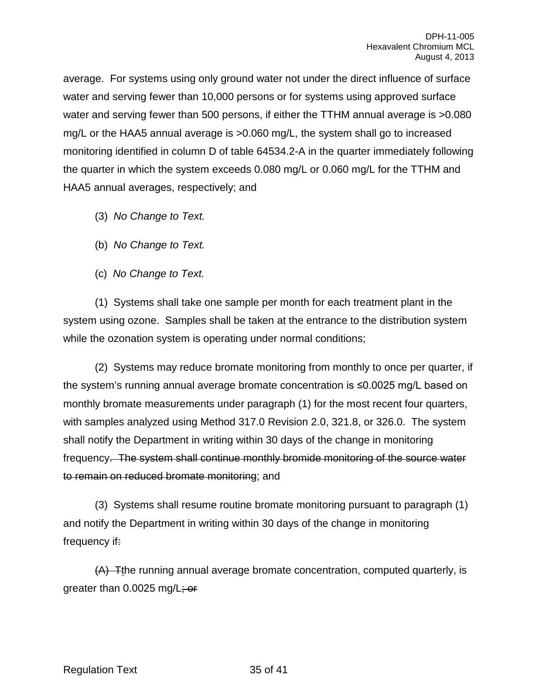average. For systems using only ground water not under the direct influence of surface water and serving fewer than 10,000 persons or for systems using approved surface water and serving fewer than 500 persons, if either the TTHM annual average is  $>0.080$ mg/L or the HAA5 annual average is >0.060 mg/L, the system shall go to increased monitoring identified in column D of table 64534.2-A in the quarter immediately following the quarter in which the system exceeds 0.080 mg/L or 0.060 mg/L for the TTHM and HAA5 annual averages, respectively; and

- (3) *No Change to Text.*
- (b) *No Change to Text.*
- (c) *No Change to Text.*

(1) Systems shall take one sample per month for each treatment plant in the system using ozone. Samples shall be taken at the entrance to the distribution system while the ozonation system is operating under normal conditions;

(2) Systems may reduce bromate monitoring from monthly to once per quarter, if the system's running annual average bromate concentration is ≤0.0025 mg/L based on monthly bromate measurements under paragraph (1) for the most recent four quarters, with samples analyzed using Method 317.0 Revision 2.0, 321.8, or 326.0. The system shall notify the Department in writing within 30 days of the change in monitoring frequency. The system shall continue monthly bromide monitoring of the source water to remain on reduced bromate monitoring; and

(3) Systems shall resume routine bromate monitoring pursuant to paragraph (1) and notify the Department in writing within 30 days of the change in monitoring frequency if:

(A) Tthe running annual average bromate concentration, computed quarterly, is greater than 0.0025 mg/L; or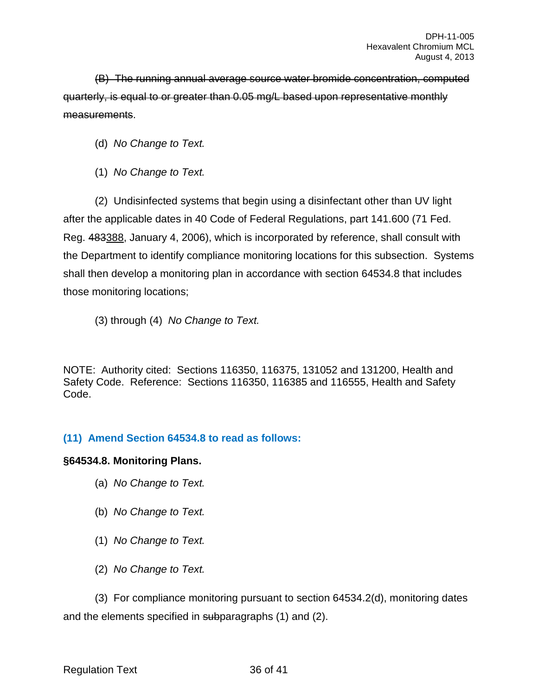(B) The running annual average source water bromide concentration, computed quarterly, is equal to or greater than 0.05 mg/L based upon representative monthly measurements.

(d) *No Change to Text.*

(1) *No Change to Text.*

(2) Undisinfected systems that begin using a disinfectant other than UV light after the applicable dates in 40 Code of Federal Regulations, part 141.600 (71 Fed. Reg. 483388, January 4, 2006), which is incorporated by reference, shall consult with the Department to identify compliance monitoring locations for this subsection. Systems shall then develop a monitoring plan in accordance with section 64534.8 that includes those monitoring locations;

(3) through (4) *No Change to Text.*

NOTE: Authority cited: Sections 116350, 116375, 131052 and 131200, Health and Safety Code. Reference: Sections 116350, 116385 and 116555, Health and Safety Code.

## **(11) Amend Section 64534.8 to read as follows:**

#### **§64534.8. Monitoring Plans.**

- (a) *No Change to Text.*
- (b) *No Change to Text.*
- (1) *No Change to Text.*
- (2) *No Change to Text.*

(3) For compliance monitoring pursuant to section 64534.2(d), monitoring dates and the elements specified in subparagraphs (1) and (2).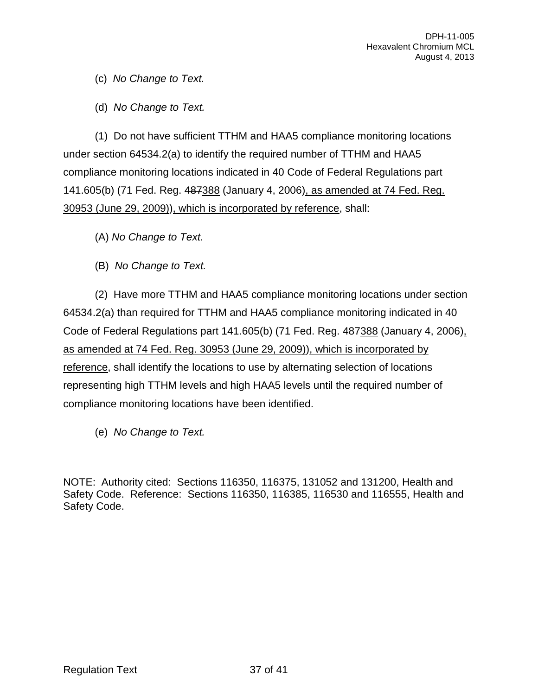(c) *No Change to Text.*

(d) *No Change to Text.*

(1) Do not have sufficient TTHM and HAA5 compliance monitoring locations under section 64534.2(a) to identify the required number of TTHM and HAA5 compliance monitoring locations indicated in 40 Code of Federal Regulations part 141.605(b) (71 Fed. Reg. 487388 (January 4, 2006), as amended at 74 Fed. Reg. 30953 (June 29, 2009)), which is incorporated by reference, shall:

(A) *No Change to Text.*

(B) *No Change to Text.*

(2) Have more TTHM and HAA5 compliance monitoring locations under section 64534.2(a) than required for TTHM and HAA5 compliance monitoring indicated in 40 Code of Federal Regulations part 141.605(b) (71 Fed. Reg. 487388 (January 4, 2006), as amended at 74 Fed. Reg. 30953 (June 29, 2009)), which is incorporated by reference, shall identify the locations to use by alternating selection of locations representing high TTHM levels and high HAA5 levels until the required number of compliance monitoring locations have been identified.

(e) *No Change to Text.*

NOTE: Authority cited: Sections 116350, 116375, 131052 and 131200, Health and Safety Code. Reference: Sections 116350, 116385, 116530 and 116555, Health and Safety Code.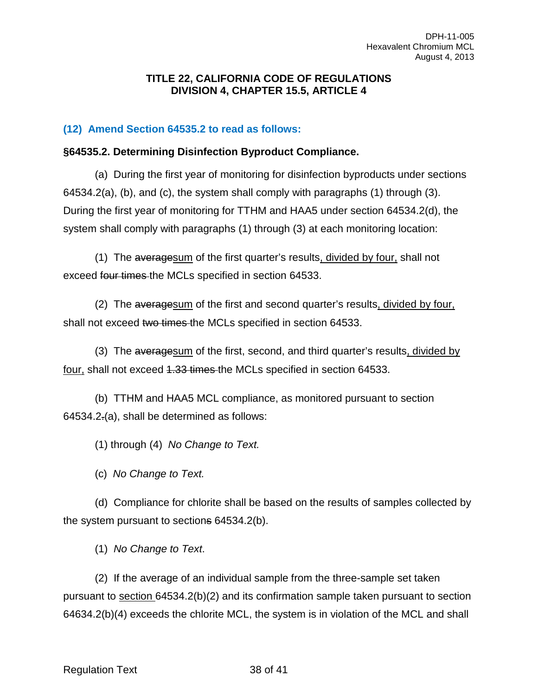#### **TITLE 22, CALIFORNIA CODE OF REGULATIONS DIVISION 4, CHAPTER 15.5, ARTICLE 4**

## **(12) Amend Section 64535.2 to read as follows:**

#### **§64535.2. Determining Disinfection Byproduct Compliance.**

(a) During the first year of monitoring for disinfection byproducts under sections 64534.2(a), (b), and (c), the system shall comply with paragraphs (1) through (3). During the first year of monitoring for TTHM and HAA5 under section 64534.2(d), the system shall comply with paragraphs (1) through (3) at each monitoring location:

(1) The averagesum of the first quarter's results, divided by four, shall not exceed four times the MCLs specified in section 64533.

(2) The averagesum of the first and second quarter's results, divided by four, shall not exceed two times the MCLs specified in section 64533.

(3) The averagesum of the first, second, and third quarter's results, divided by four, shall not exceed 4.33 times the MCLs specified in section 64533.

(b) TTHM and HAA5 MCL compliance, as monitored pursuant to section 64534.2.(a), shall be determined as follows:

(1) through (4) *No Change to Text.*

(c) *No Change to Text.*

(d) Compliance for chlorite shall be based on the results of samples collected by the system pursuant to sections 64534.2(b).

(1) *No Change to Text*.

(2) If the average of an individual sample from the three-sample set taken pursuant to section 64534.2(b)(2) and its confirmation sample taken pursuant to section 64634.2(b)(4) exceeds the chlorite MCL, the system is in violation of the MCL and shall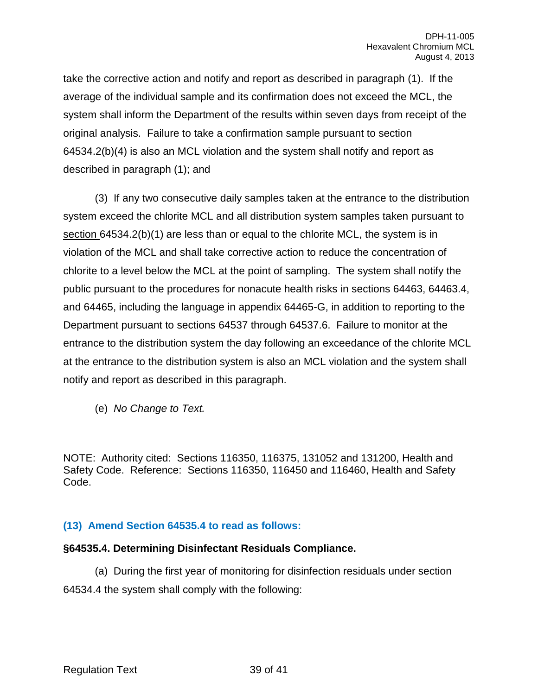take the corrective action and notify and report as described in paragraph (1). If the average of the individual sample and its confirmation does not exceed the MCL, the system shall inform the Department of the results within seven days from receipt of the original analysis. Failure to take a confirmation sample pursuant to section 64534.2(b)(4) is also an MCL violation and the system shall notify and report as described in paragraph (1); and

(3) If any two consecutive daily samples taken at the entrance to the distribution system exceed the chlorite MCL and all distribution system samples taken pursuant to section 64534.2(b)(1) are less than or equal to the chlorite MCL, the system is in violation of the MCL and shall take corrective action to reduce the concentration of chlorite to a level below the MCL at the point of sampling. The system shall notify the public pursuant to the procedures for nonacute health risks in sections 64463, 64463.4, and 64465, including the language in appendix 64465-G, in addition to reporting to the Department pursuant to sections 64537 through 64537.6. Failure to monitor at the entrance to the distribution system the day following an exceedance of the chlorite MCL at the entrance to the distribution system is also an MCL violation and the system shall notify and report as described in this paragraph.

(e) *No Change to Text.*

NOTE: Authority cited: Sections 116350, 116375, 131052 and 131200, Health and Safety Code. Reference: Sections 116350, 116450 and 116460, Health and Safety Code.

## **(13) Amend Section 64535.4 to read as follows:**

#### **§64535.4. Determining Disinfectant Residuals Compliance.**

(a) During the first year of monitoring for disinfection residuals under section 64534.4 the system shall comply with the following: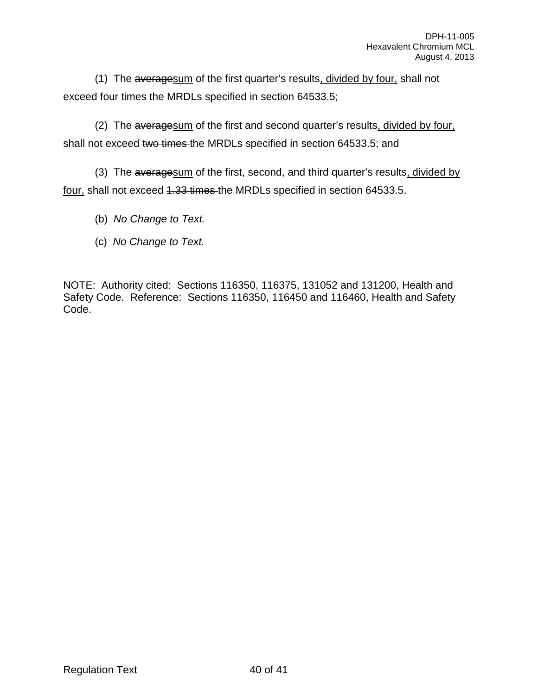(1) The averagesum of the first quarter's results, divided by four, shall not exceed four times the MRDLs specified in section 64533.5;

(2) The averagesum of the first and second quarter's results, divided by four, shall not exceed two times the MRDLs specified in section 64533.5; and

(3) The averagesum of the first, second, and third quarter's results, divided by four, shall not exceed 4.33 times the MRDLs specified in section 64533.5.

(b) *No Change to Text.*

(c) *No Change to Text.*

NOTE: Authority cited: Sections 116350, 116375, 131052 and 131200, Health and Safety Code. Reference: Sections 116350, 116450 and 116460, Health and Safety Code.